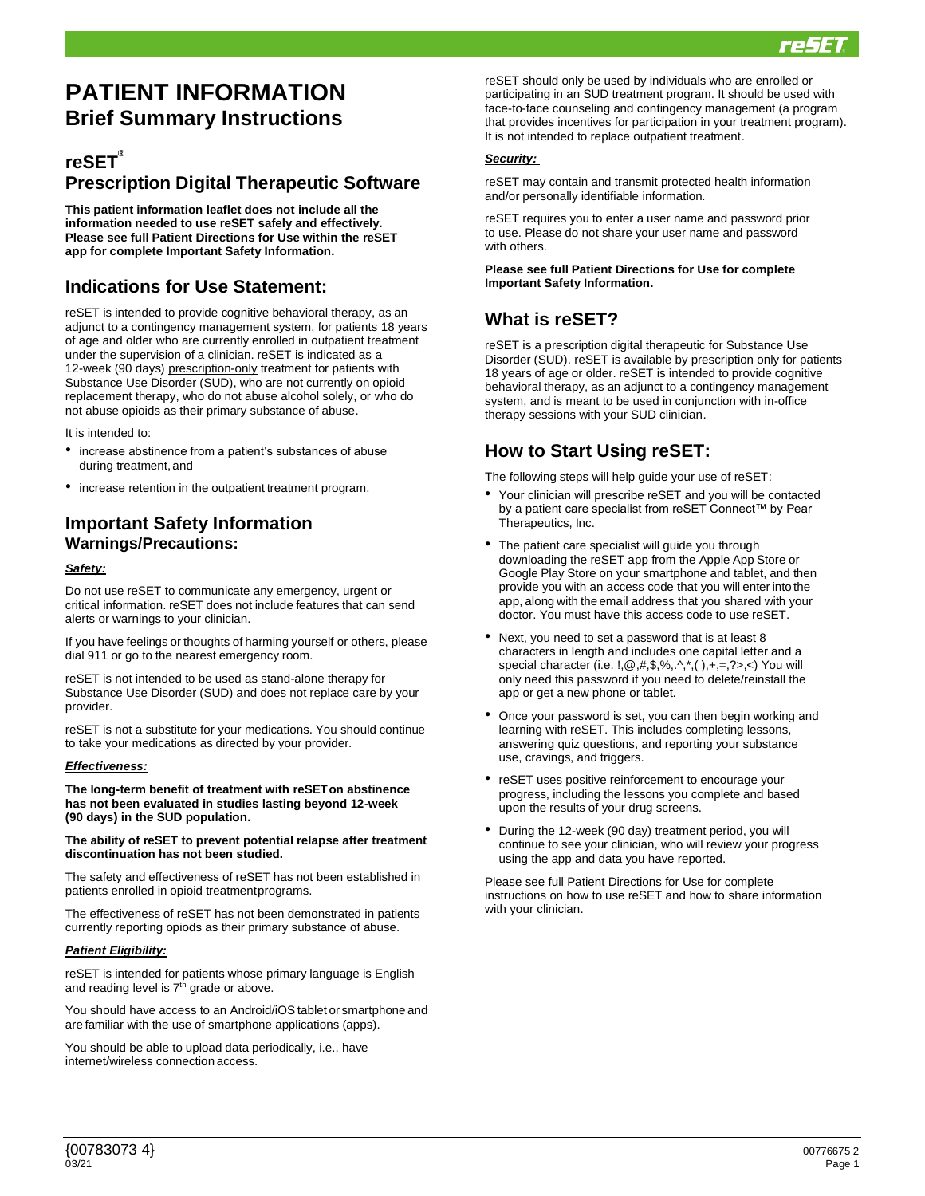

# **PATIENT INFORMATION Brief Summary Instructions**

### **reSET® Prescription Digital Therapeutic Software**

**This patient information leaflet does not include all the information needed to use reSET safely and effectively. Please see full Patient Directions for Use within the reSET app for complete Important Safety Information.**

### **Indications for Use Statement:**

reSET is intended to provide cognitive behavioral therapy, as an adjunct to a contingency management system, for patients 18 years of age and older who are currently enrolled in outpatient treatment under the supervision of a clinician. reSET is indicated as a 12-week (90 days) prescription-only treatment for patients with Substance Use Disorder (SUD), who are not currently on opioid replacement therapy, who do not abuse alcohol solely, or who do not abuse opioids as their primary substance of abuse.

It is intended to:

- increase abstinence from a patient's substances of abuse during treatment, and
- increase retention in the outpatient treatment program.

### **Important Safety Information Warnings/Precautions:**

#### *Safety:*

Do not use reSET to communicate any emergency, urgent or critical information. reSET does not include features that can send alerts or warnings to your clinician.

If you have feelings or thoughts of harming yourself or others, please dial 911 or go to the nearest emergency room.

reSET is not intended to be used as stand-alone therapy for Substance Use Disorder (SUD) and does not replace care by your provider.

reSET is not a substitute for your medications. You should continue to take your medications as directed by your provider.

#### *Effectiveness:*

**The long-term benefit of treatment with reSETon abstinence has not been evaluated in studies lasting beyond 12-week (90 days) in the SUD population.** 

#### **The ability of reSET to prevent potential relapse after treatment discontinuation has not been studied.**

The safety and effectiveness of reSET has not been established in patients enrolled in opioid treatmentprograms.

The effectiveness of reSET has not been demonstrated in patients currently reporting opiods as their primary substance of abuse.

#### *Patient Eligibility:*

reSET is intended for patients whose primary language is English and reading level is  $7<sup>th</sup>$  grade or above.

You should have access to an Android/iOS tablet or smartphone and are familiar with the use of smartphone applications (apps).

You should be able to upload data periodically, i.e., have internet/wireless connection access.

reSET should only be used by individuals who are enrolled or participating in an SUD treatment program. It should be used with face-to-face counseling and contingency management (a program that provides incentives for participation in your treatment program). It is not intended to replace outpatient treatment.

#### *Security:*

reSET may contain and transmit protected health information and/or personally identifiable information.

reSET requires you to enter a user name and password prior to use. Please do not share your user name and password with others.

#### **Please see full Patient Directions for Use for complete Important Safety Information.**

### **What is reSET?**

reSET is a prescription digital therapeutic for Substance Use Disorder (SUD). reSET is available by prescription only for patients 18 years of age or older. reSET is intended to provide cognitive behavioral therapy, as an adjunct to a contingency management system, and is meant to be used in conjunction with in-office therapy sessions with your SUD clinician.

### **How to Start Using reSET:**

The following steps will help guide your use of reSET:

- Your clinician will prescribe reSET and you will be contacted by a patient care specialist from reSET Connect™ by Pear Therapeutics, Inc.
- The patient care specialist will guide you through downloading the reSET app from the Apple App Store or Google Play Store on your smartphone and tablet, and then provide you with an access code that you will enter into the app, along with the email address that you shared with your doctor. You must have this access code to use reSET.
- Next, you need to set a password that is at least 8 characters in length and includes one capital letter and a special character (i.e. !,@,#,\$,%,.^,\*,( ),+,=,?>,<) You will only need this password if you need to delete/reinstall the app or get a new phone or tablet.
- Once your password is set, you can then begin working and learning with reSET. This includes completing lessons, answering quiz questions, and reporting your substance use, cravings, and triggers.
- reSET uses positive reinforcement to encourage your progress, including the lessons you complete and based upon the results of your drug screens.
- During the 12-week (90 day) treatment period, you will continue to see your clinician, who will review your progress using the app and data you have reported.

Please see full Patient Directions for Use for complete instructions on how to use reSET and how to share information with your clinician.